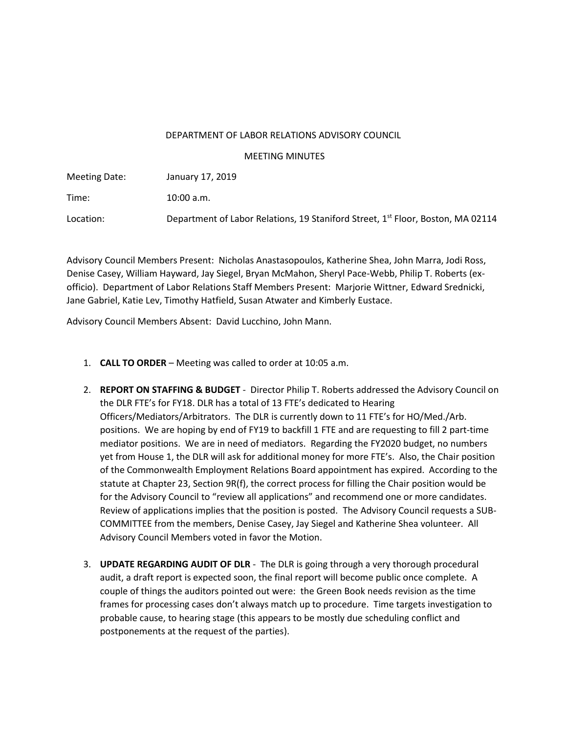## DEPARTMENT OF LABOR RELATIONS ADVISORY COUNCIL

MEETING MINUTES

Meeting Date: January 17, 2019 Time: 10:00 a.m. Location: Department of Labor Relations, 19 Staniford Street, 1<sup>st</sup> Floor, Boston, MA 02114

Advisory Council Members Present: Nicholas Anastasopoulos, Katherine Shea, John Marra, Jodi Ross, Denise Casey, William Hayward, Jay Siegel, Bryan McMahon, Sheryl Pace-Webb, Philip T. Roberts (exofficio). Department of Labor Relations Staff Members Present: Marjorie Wittner, Edward Srednicki, Jane Gabriel, Katie Lev, Timothy Hatfield, Susan Atwater and Kimberly Eustace.

Advisory Council Members Absent: David Lucchino, John Mann.

- 1. **CALL TO ORDER** Meeting was called to order at 10:05 a.m.
- 2. **REPORT ON STAFFING & BUDGET** Director Philip T. Roberts addressed the Advisory Council on the DLR FTE's for FY18. DLR has a total of 13 FTE's dedicated to Hearing Officers/Mediators/Arbitrators. The DLR is currently down to 11 FTE's for HO/Med./Arb. positions. We are hoping by end of FY19 to backfill 1 FTE and are requesting to fill 2 part-time mediator positions. We are in need of mediators. Regarding the FY2020 budget, no numbers yet from House 1, the DLR will ask for additional money for more FTE's. Also, the Chair position of the Commonwealth Employment Relations Board appointment has expired. According to the statute at Chapter 23, Section 9R(f), the correct process for filling the Chair position would be for the Advisory Council to "review all applications" and recommend one or more candidates. Review of applications implies that the position is posted. The Advisory Council requests a SUB-COMMITTEE from the members, Denise Casey, Jay Siegel and Katherine Shea volunteer. All Advisory Council Members voted in favor the Motion.
- 3. **UPDATE REGARDING AUDIT OF DLR** The DLR is going through a very thorough procedural audit, a draft report is expected soon, the final report will become public once complete. A couple of things the auditors pointed out were: the Green Book needs revision as the time frames for processing cases don't always match up to procedure. Time targets investigation to probable cause, to hearing stage (this appears to be mostly due scheduling conflict and postponements at the request of the parties).